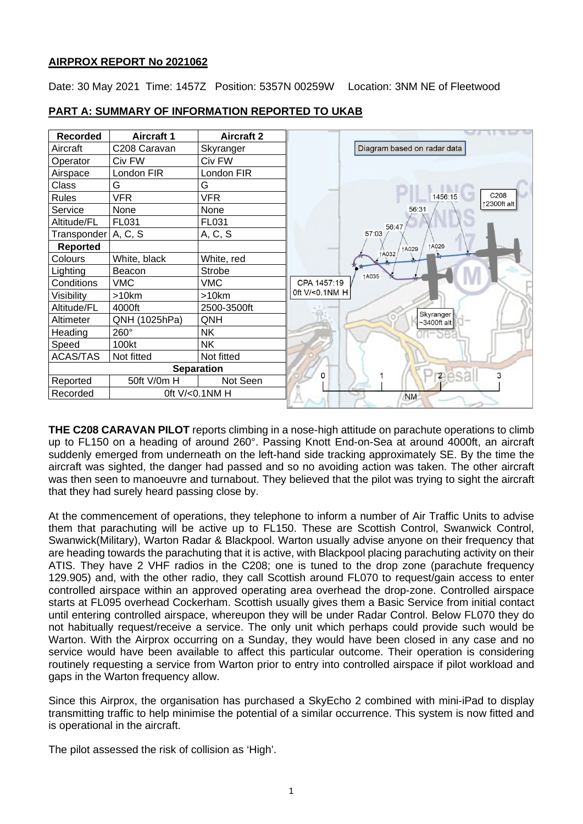### **AIRPROX REPORT No 2021062**

Date: 30 May 2021 Time: 1457Z Position: 5357N 00259W Location: 3NM NE of Fleetwood



### **PART A: SUMMARY OF INFORMATION REPORTED TO UKAB**

**THE C208 CARAVAN PILOT** reports climbing in a nose-high attitude on parachute operations to climb up to FL150 on a heading of around 260°. Passing Knott End-on-Sea at around 4000ft, an aircraft suddenly emerged from underneath on the left-hand side tracking approximately SE. By the time the aircraft was sighted, the danger had passed and so no avoiding action was taken. The other aircraft was then seen to manoeuvre and turnabout. They believed that the pilot was trying to sight the aircraft that they had surely heard passing close by.

At the commencement of operations, they telephone to inform a number of Air Traffic Units to advise them that parachuting will be active up to FL150. These are Scottish Control, Swanwick Control, Swanwick(Military), Warton Radar & Blackpool. Warton usually advise anyone on their frequency that are heading towards the parachuting that it is active, with Blackpool placing parachuting activity on their ATIS. They have 2 VHF radios in the C208; one is tuned to the drop zone (parachute frequency 129.905) and, with the other radio, they call Scottish around FL070 to request/gain access to enter controlled airspace within an approved operating area overhead the drop-zone. Controlled airspace starts at FL095 overhead Cockerham. Scottish usually gives them a Basic Service from initial contact until entering controlled airspace, whereupon they will be under Radar Control. Below FL070 they do not habitually request/receive a service. The only unit which perhaps could provide such would be Warton. With the Airprox occurring on a Sunday, they would have been closed in any case and no service would have been available to affect this particular outcome. Their operation is considering routinely requesting a service from Warton prior to entry into controlled airspace if pilot workload and gaps in the Warton frequency allow.

Since this Airprox, the organisation has purchased a SkyEcho 2 combined with mini-iPad to display transmitting traffic to help minimise the potential of a similar occurrence. This system is now fitted and is operational in the aircraft.

The pilot assessed the risk of collision as 'High'.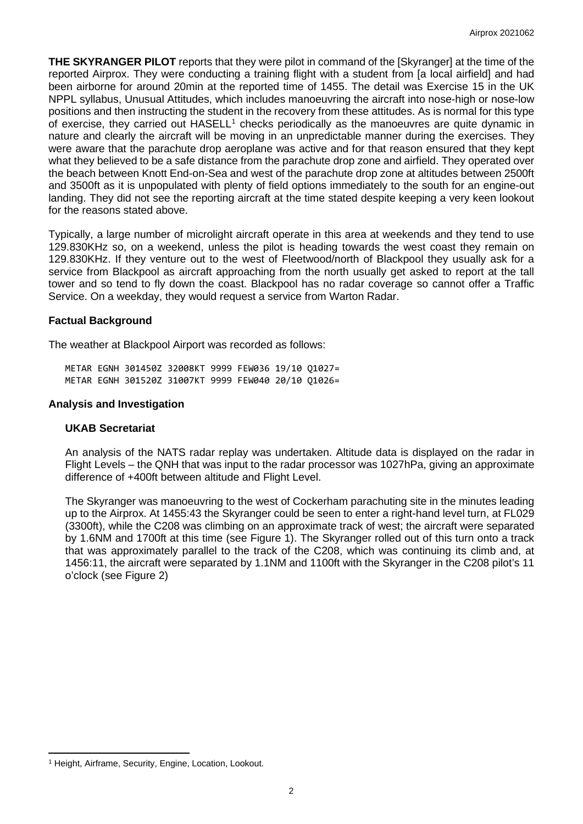**THE SKYRANGER PILOT** reports that they were pilot in command of the [Skyranger] at the time of the reported Airprox. They were conducting a training flight with a student from [a local airfield] and had been airborne for around 20min at the reported time of 1455. The detail was Exercise 15 in the UK NPPL syllabus, Unusual Attitudes, which includes manoeuvring the aircraft into nose-high or nose-low positions and then instructing the student in the recovery from these attitudes. As is normal for this type of exercise, they carried out  $HASELL<sup>1</sup>$  $HASELL<sup>1</sup>$  $HASELL<sup>1</sup>$  checks periodically as the manoeuvres are quite dynamic in nature and clearly the aircraft will be moving in an unpredictable manner during the exercises. They were aware that the parachute drop aeroplane was active and for that reason ensured that they kept what they believed to be a safe distance from the parachute drop zone and airfield. They operated over the beach between Knott End-on-Sea and west of the parachute drop zone at altitudes between 2500ft and 3500ft as it is unpopulated with plenty of field options immediately to the south for an engine-out landing. They did not see the reporting aircraft at the time stated despite keeping a very keen lookout for the reasons stated above.

Typically, a large number of microlight aircraft operate in this area at weekends and they tend to use 129.830KHz so, on a weekend, unless the pilot is heading towards the west coast they remain on 129.830KHz. If they venture out to the west of Fleetwood/north of Blackpool they usually ask for a service from Blackpool as aircraft approaching from the north usually get asked to report at the tall tower and so tend to fly down the coast. Blackpool has no radar coverage so cannot offer a Traffic Service. On a weekday, they would request a service from Warton Radar.

#### **Factual Background**

The weather at Blackpool Airport was recorded as follows:

METAR EGNH 301450Z 32008KT 9999 FEW036 19/10 Q1027= METAR EGNH 301520Z 31007KT 9999 FEW040 20/10 Q1026=

#### **Analysis and Investigation**

#### **UKAB Secretariat**

An analysis of the NATS radar replay was undertaken. Altitude data is displayed on the radar in Flight Levels – the QNH that was input to the radar processor was 1027hPa, giving an approximate difference of +400ft between altitude and Flight Level.

The Skyranger was manoeuvring to the west of Cockerham parachuting site in the minutes leading up to the Airprox. At 1455:43 the Skyranger could be seen to enter a right-hand level turn, at FL029 (3300ft), while the C208 was climbing on an approximate track of west; the aircraft were separated by 1.6NM and 1700ft at this time (see Figure 1). The Skyranger rolled out of this turn onto a track that was approximately parallel to the track of the C208, which was continuing its climb and, at 1456:11, the aircraft were separated by 1.1NM and 1100ft with the Skyranger in the C208 pilot's 11 o'clock (see Figure 2)

<span id="page-1-0"></span><sup>&</sup>lt;sup>1</sup> Height, Airframe, Security, Engine, Location, Lookout.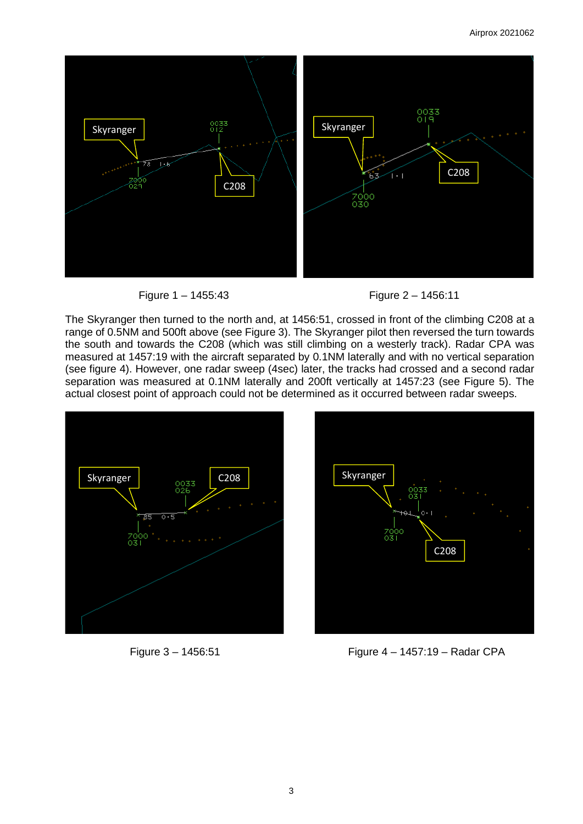





The Skyranger then turned to the north and, at 1456:51, crossed in front of the climbing C208 at a range of 0.5NM and 500ft above (see Figure 3). The Skyranger pilot then reversed the turn towards the south and towards the C208 (which was still climbing on a westerly track). Radar CPA was measured at 1457:19 with the aircraft separated by 0.1NM laterally and with no vertical separation (see figure 4). However, one radar sweep (4sec) later, the tracks had crossed and a second radar separation was measured at 0.1NM laterally and 200ft vertically at 1457:23 (see Figure 5). The actual closest point of approach could not be determined as it occurred between radar sweeps.







Figure 3 – 1456:51 Figure 4 – 1457:19 – Radar CPA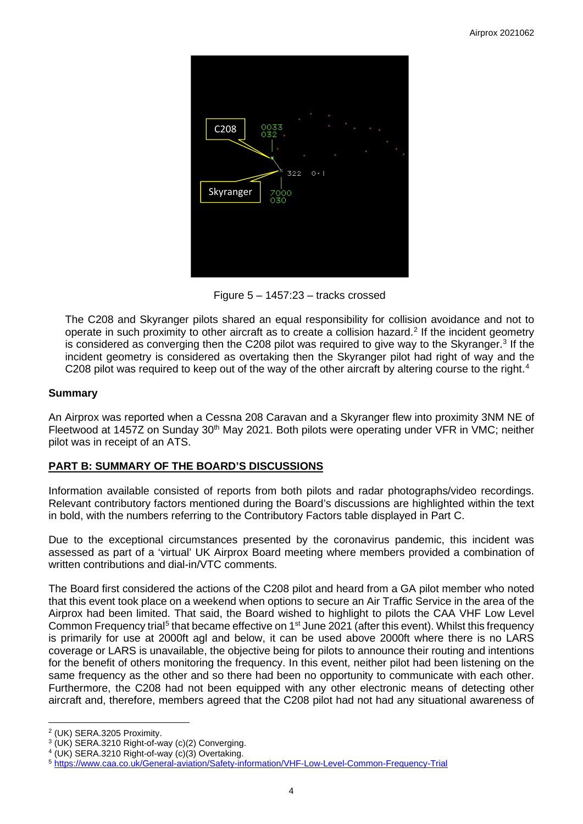

Figure 5 – 1457:23 – tracks crossed

The C208 and Skyranger pilots shared an equal responsibility for collision avoidance and not to operate in such proximity to other aircraft as to create a collision hazard. [2](#page-3-0) If the incident geometry is considered as converging then the C208 pilot was required to give way to the Skyranger. [3](#page-3-1) If the incident geometry is considered as overtaking then the Skyranger pilot had right of way and the C208 pilot was required to keep out of the way of the other aircraft by altering course to the right.<sup>[4](#page-3-2)</sup>

### **Summary**

An Airprox was reported when a Cessna 208 Caravan and a Skyranger flew into proximity 3NM NE of Fleetwood at 1457Z on Sunday 30<sup>th</sup> May 2021. Both pilots were operating under VFR in VMC; neither pilot was in receipt of an ATS.

### **PART B: SUMMARY OF THE BOARD'S DISCUSSIONS**

Information available consisted of reports from both pilots and radar photographs/video recordings. Relevant contributory factors mentioned during the Board's discussions are highlighted within the text in bold, with the numbers referring to the Contributory Factors table displayed in Part C.

Due to the exceptional circumstances presented by the coronavirus pandemic, this incident was assessed as part of a 'virtual' UK Airprox Board meeting where members provided a combination of written contributions and dial-in/VTC comments.

The Board first considered the actions of the C208 pilot and heard from a GA pilot member who noted that this event took place on a weekend when options to secure an Air Traffic Service in the area of the Airprox had been limited. That said, the Board wished to highlight to pilots the CAA VHF Low Level Common Frequency trial<sup>[5](#page-3-3)</sup> that became effective on 1<sup>st</sup> June 2021 (after this event). Whilst this frequency is primarily for use at 2000ft agl and below, it can be used above 2000ft where there is no LARS coverage or LARS is unavailable, the objective being for pilots to announce their routing and intentions for the benefit of others monitoring the frequency. In this event, neither pilot had been listening on the same frequency as the other and so there had been no opportunity to communicate with each other. Furthermore, the C208 had not been equipped with any other electronic means of detecting other aircraft and, therefore, members agreed that the C208 pilot had not had any situational awareness of

<span id="page-3-0"></span><sup>2</sup> (UK) SERA.3205 Proximity.

<span id="page-3-1"></span><sup>&</sup>lt;sup>3</sup> (UK) SERA.3210 Right-of-way (c)(2) Converging.

<span id="page-3-2"></span><sup>4</sup> (UK) SERA.3210 Right-of-way (c)(3) Overtaking.

<span id="page-3-3"></span><sup>5</sup> <https://www.caa.co.uk/General-aviation/Safety-information/VHF-Low-Level-Common-Frequency-Trial>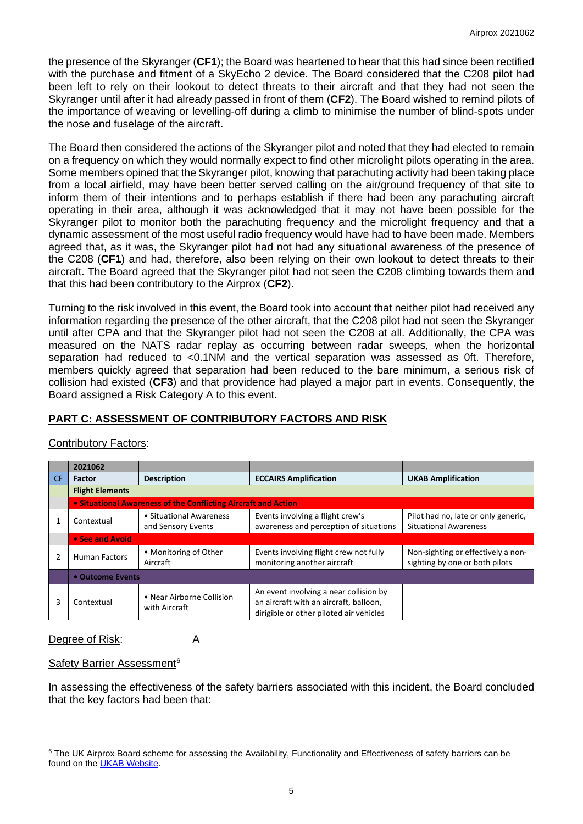the presence of the Skyranger (**CF1**); the Board was heartened to hear that this had since been rectified with the purchase and fitment of a SkyEcho 2 device. The Board considered that the C208 pilot had been left to rely on their lookout to detect threats to their aircraft and that they had not seen the Skyranger until after it had already passed in front of them (**CF2**). The Board wished to remind pilots of the importance of weaving or levelling-off during a climb to minimise the number of blind-spots under the nose and fuselage of the aircraft.

The Board then considered the actions of the Skyranger pilot and noted that they had elected to remain on a frequency on which they would normally expect to find other microlight pilots operating in the area. Some members opined that the Skyranger pilot, knowing that parachuting activity had been taking place from a local airfield, may have been better served calling on the air/ground frequency of that site to inform them of their intentions and to perhaps establish if there had been any parachuting aircraft operating in their area, although it was acknowledged that it may not have been possible for the Skyranger pilot to monitor both the parachuting frequency and the microlight frequency and that a dynamic assessment of the most useful radio frequency would have had to have been made. Members agreed that, as it was, the Skyranger pilot had not had any situational awareness of the presence of the C208 (**CF1**) and had, therefore, also been relying on their own lookout to detect threats to their aircraft. The Board agreed that the Skyranger pilot had not seen the C208 climbing towards them and that this had been contributory to the Airprox (**CF2**).

Turning to the risk involved in this event, the Board took into account that neither pilot had received any information regarding the presence of the other aircraft, that the C208 pilot had not seen the Skyranger until after CPA and that the Skyranger pilot had not seen the C208 at all. Additionally, the CPA was measured on the NATS radar replay as occurring between radar sweeps, when the horizontal separation had reduced to <0.1NM and the vertical separation was assessed as 0ft. Therefore, members quickly agreed that separation had been reduced to the bare minimum, a serious risk of collision had existed (**CF3**) and that providence had played a major part in events. Consequently, the Board assigned a Risk Category A to this event.

# **PART C: ASSESSMENT OF CONTRIBUTORY FACTORS AND RISK**

|    | 2021062                                                        |                                               |                                                                                                                             |                                                                      |  |  |  |  |  |  |  |  |
|----|----------------------------------------------------------------|-----------------------------------------------|-----------------------------------------------------------------------------------------------------------------------------|----------------------------------------------------------------------|--|--|--|--|--|--|--|--|
| CF | Factor                                                         | <b>Description</b>                            | <b>ECCAIRS Amplification</b>                                                                                                | <b>UKAB Amplification</b>                                            |  |  |  |  |  |  |  |  |
|    | <b>Flight Elements</b>                                         |                                               |                                                                                                                             |                                                                      |  |  |  |  |  |  |  |  |
|    | • Situational Awareness of the Conflicting Aircraft and Action |                                               |                                                                                                                             |                                                                      |  |  |  |  |  |  |  |  |
|    | Contextual                                                     | • Situational Awareness<br>and Sensory Events | Pilot had no, late or only generic,<br><b>Situational Awareness</b>                                                         |                                                                      |  |  |  |  |  |  |  |  |
|    | • See and Avoid                                                |                                               |                                                                                                                             |                                                                      |  |  |  |  |  |  |  |  |
|    | <b>Human Factors</b>                                           | • Monitoring of Other<br>Aircraft             | Events involving flight crew not fully<br>monitoring another aircraft                                                       | Non-sighting or effectively a non-<br>sighting by one or both pilots |  |  |  |  |  |  |  |  |
|    | • Outcome Events                                               |                                               |                                                                                                                             |                                                                      |  |  |  |  |  |  |  |  |
| 3  | Contextual                                                     | • Near Airborne Collision<br>with Aircraft    | An event involving a near collision by<br>an aircraft with an aircraft, balloon,<br>dirigible or other piloted air vehicles |                                                                      |  |  |  |  |  |  |  |  |

## Contributory Factors:

Degree of Risk: A

### Safety Barrier Assessment<sup>[6](#page-4-0)</sup>

In assessing the effectiveness of the safety barriers associated with this incident, the Board concluded that the key factors had been that:

<span id="page-4-0"></span><sup>&</sup>lt;sup>6</sup> The UK Airprox Board scheme for assessing the Availability, Functionality and Effectiveness of safety barriers can be found on the [UKAB Website.](http://www.airproxboard.org.uk/Learn-more/Airprox-Barrier-Assessment/)